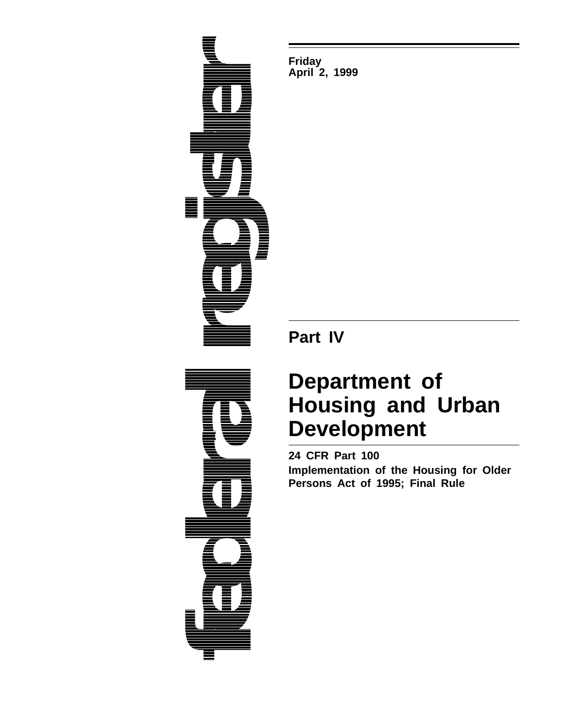

**Friday April 2, 1999**

**Part IV**

# **Department of Housing and Urban Development**

**24 CFR Part 100 Implementation of the Housing for Older Persons Act of 1995; Final Rule**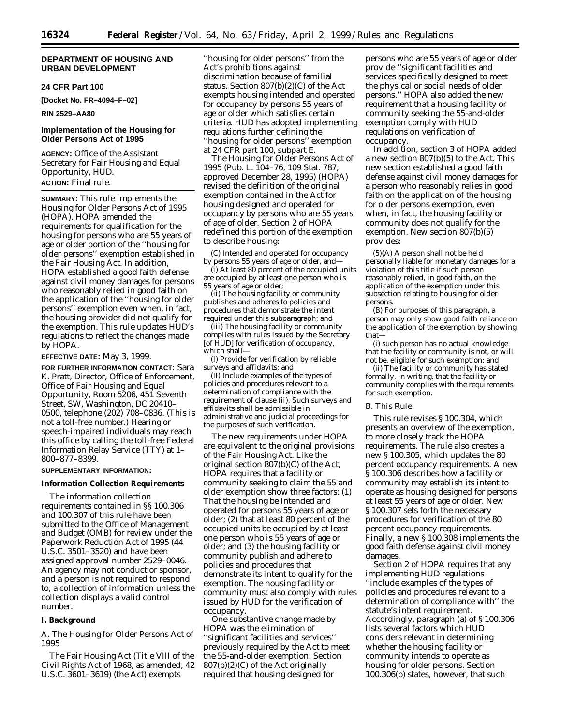# **DEPARTMENT OF HOUSING AND URBAN DEVELOPMENT**

# **24 CFR Part 100**

**[Docket No. FR–4094–F–02]**

# **RIN 2529–AA80**

# **Implementation of the Housing for Older Persons Act of 1995**

**AGENCY:** Office of the Assistant Secretary for Fair Housing and Equal Opportunity, HUD. **ACTION:** Final rule.

**SUMMARY:** This rule implements the Housing for Older Persons Act of 1995 (HOPA). HOPA amended the requirements for qualification for the housing for persons who are 55 years of age or older portion of the ''housing for older persons'' exemption established in the Fair Housing Act. In addition, HOPA established a good faith defense against civil money damages for persons who reasonably relied in good faith on the application of the ''housing for older persons'' exemption even when, in fact, the housing provider did not qualify for the exemption. This rule updates HUD's regulations to reflect the changes made by HOPA.

## **EFFECTIVE DATE:** May 3, 1999.

**FOR FURTHER INFORMATION CONTACT:** Sara K. Pratt, Director, Office of Enforcement, Office of Fair Housing and Equal Opportunity, Room 5206, 451 Seventh Street, SW, Washington, DC 20410– 0500, telephone (202) 708–0836. (This is not a toll-free number.) Hearing or speech-impaired individuals may reach this office by calling the toll-free Federal Information Relay Service (TTY) at 1– 800–877–8399.

## **SUPPLEMENTARY INFORMATION:**

## **Information Collection Requirements**

The information collection requirements contained in §§ 100.306 and 100.307 of this rule have been submitted to the Office of Management and Budget (OMB) for review under the Paperwork Reduction Act of 1995 (44 U.S.C. 3501–3520) and have been assigned approval number 2529–0046. An agency may not conduct or sponsor, and a person is not required to respond to, a collection of information unless the collection displays a valid control number.

## **I. Background**

# *A. The Housing for Older Persons Act of 1995*

The Fair Housing Act (Title VIII of the Civil Rights Act of 1968, as amended, 42 U.S.C. 3601–3619) (the Act) exempts

''housing for older persons'' from the Act's prohibitions against discrimination because of familial status. Section 807(b)(2)(C) of the Act exempts housing intended and operated for occupancy by persons 55 years of age or older which satisfies certain criteria. HUD has adopted implementing regulations further defining the ''housing for older persons'' exemption at 24 CFR part 100, subpart E.

The Housing for Older Persons Act of 1995 (Pub. L. 104–76, 109 Stat. 787, approved December 28, 1995) (HOPA) revised the definition of the original exemption contained in the Act for housing designed and operated for occupancy by persons who are 55 years of age of older. Section 2 of HOPA redefined this portion of the exemption to describe housing:

(C) Intended and operated for occupancy by persons 55 years of age or older, and—

(i) At least 80 percent of the occupied units are occupied by at least one person who is 55 years of age or older;

(ii) The housing facility or community publishes and adheres to policies and procedures that demonstrate the intent required under this subparagraph; and

(iii) The housing facility or community complies with rules issued by the Secretary [of HUD] for verification of occupancy, which shall—

(I) Provide for verification by reliable surveys and affidavits; and

(II) Include examples of the types of policies and procedures relevant to a determination of compliance with the requirement of clause (ii). Such surveys and affidavits shall be admissible in administrative and judicial proceedings for the purposes of such verification.

The new requirements under HOPA are equivalent to the original provisions of the Fair Housing Act. Like the original section 807(b)(C) of the Act, HOPA requires that a facility or community seeking to claim the 55 and older exemption show three factors: (1) That the housing be intended and operated for persons 55 years of age or older; (2) that at least 80 percent of the occupied units be occupied by at least one person who is 55 years of age or older; and (3) the housing facility or community publish and adhere to policies and procedures that demonstrate its intent to qualify for the exemption. The housing facility or community must also comply with rules issued by HUD for the verification of occupancy.

One substantive change made by HOPA was the elimination of ''significant facilities and services'' previously required by the Act to meet the 55-and-older exemption. Section 807(b)(2)(C) of the Act originally required that housing designed for

persons who are 55 years of age or older provide ''significant facilities and services specifically designed to meet the physical or social needs of older persons.'' HOPA also added the new requirement that a housing facility or community seeking the 55-and-older exemption comply with HUD regulations on verification of occupancy.

In addition, section 3 of HOPA added a new section 807(b)(5) to the Act. This new section established a good faith defense against civil money damages for a person who reasonably relies in good faith on the application of the housing for older persons exemption, even when, in fact, the housing facility or community does not qualify for the exemption. New section 807(b)(5) provides:

(5)(A) A person shall not be held personally liable for monetary damages for a violation of this title if such person reasonably relied, in good faith, on the application of the exemption under this subsection relating to housing for older persons.

(B) For purposes of this paragraph, a person may only show good faith reliance on the application of the exemption by showing that—

(i) such person has no actual knowledge that the facility or community is not, or will not be, eligible for such exemption; and

(ii) The facility or community has stated formally, in writing, that the facility or community complies with the requirements for such exemption.

## *B. This Rule*

This rule revises § 100.304, which presents an overview of the exemption, to more closely track the HOPA requirements. The rule also creates a new § 100.305, which updates the 80 percent occupancy requirements. A new § 100.306 describes how a facility or community may establish its intent to operate as housing designed for persons at least 55 years of age or older. New § 100.307 sets forth the necessary procedures for verification of the 80 percent occupancy requirements. Finally, a new § 100.308 implements the good faith defense against civil money damages.

Section 2 of HOPA requires that any implementing HUD regulations ''include examples of the types of policies and procedures relevant to a determination of compliance with'' the statute's intent requirement. Accordingly, paragraph (a) of § 100.306 lists several factors which HUD considers relevant in determining whether the housing facility or community intends to operate as housing for older persons. Section 100.306(b) states, however, that such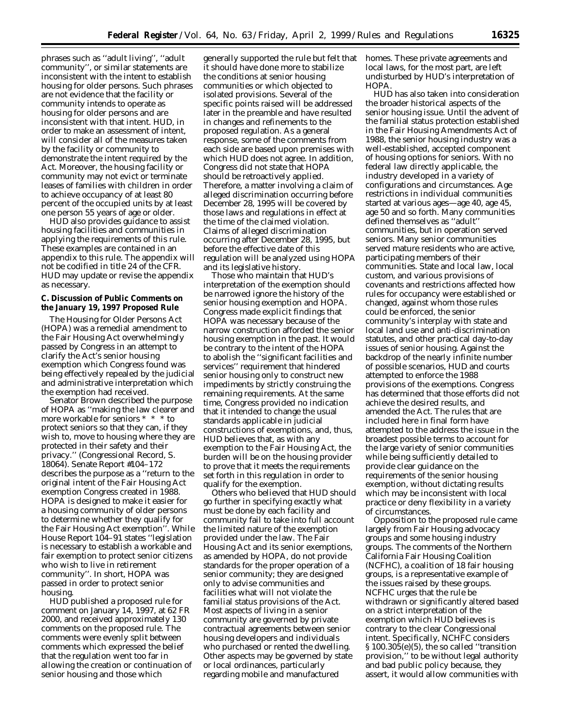phrases such as ''adult living'', ''adult community'', or similar statements are inconsistent with the intent to establish housing for older persons. Such phrases are not evidence that the facility or community intends to operate as housing for older persons and are inconsistent with that intent. HUD, in order to make an assessment of intent, will consider all of the measures taken by the facility or community to demonstrate the intent required by the Act. Moreover, the housing facility or community may not evict or terminate leases of families with children in order to achieve occupancy of at least 80 percent of the occupied units by at least one person 55 years of age or older.

HUD also provides guidance to assist housing facilities and communities in applying the requirements of this rule. These examples are contained in an appendix to this rule. The appendix will not be codified in title 24 of the CFR. HUD may update or revise the appendix as necessary.

# **C. Discussion of Public Comments on the January 19, 1997 Proposed Rule**

The Housing for Older Persons Act (HOPA) was a remedial amendment to the Fair Housing Act overwhelmingly passed by Congress in an attempt to clarify the Act's senior housing exemption which Congress found was being effectively repealed by the judicial and administrative interpretation which the exemption had received.

Senator Brown described the purpose of HOPA as ''making the law clearer and more workable for seniors \* \* \* to protect seniors so that they can, if they wish to, move to housing where they are protected in their safety and their privacy.'' (Congressional Record, S. 18064). Senate Report #104–172 describes the purpose as a ''return to the original intent of the Fair Housing Act exemption Congress created in 1988. HOPA is designed to make it easier for a housing community of older persons to determine whether they qualify for the Fair Housing Act exemption''. While House Report 104–91 states ''legislation is necessary to establish a workable and fair exemption to protect senior citizens who wish to live in retirement community''. In short, HOPA was passed in order to protect senior housing.

HUD published a proposed rule for comment on January 14, 1997, at 62 FR 2000, and received approximately 130 comments on the proposed rule. The comments were evenly split between comments which expressed the belief that the regulation went too far in allowing the creation or continuation of senior housing and those which

generally supported the rule but felt that it should have done more to stabilize the conditions at senior housing communities or which objected to isolated provisions. Several of the specific points raised will be addressed later in the preamble and have resulted in changes and refinements to the proposed regulation. As a general response, some of the comments from each side are based upon premises with which HUD does not agree. In addition, Congress did not state that HOPA should be retroactively applied. Therefore, a matter involving a claim of alleged discrimination occurring *before* December 28, 1995 will be covered by those laws and regulations in effect at the time of the claimed violation. Claims of alleged discrimination occurring after December 28, 1995, but before the effective date of this regulation will be analyzed using HOPA and its legislative history.

Those who maintain that HUD's interpretation of the exemption should be narrowed ignore the history of the senior housing exemption and HOPA. Congress made explicit findings that HOPA was necessary because of the narrow construction afforded the senior housing exemption in the past. It would be contrary to the intent of the HOPA to abolish the ''significant facilities and services'' requirement that hindered senior housing only to construct new impediments by strictly construing the remaining requirements. At the same time, Congress provided no indication that it intended to change the usual standards applicable in judicial constructions of exemptions, and, thus, HUD believes that, as with any exemption to the Fair Housing Act, the burden will be on the housing provider to prove that it meets the requirements set forth in this regulation in order to qualify for the exemption.

Others who believed that HUD should go further in specifying exactly what must be done by each facility and community fail to take into full account the limited nature of the exemption provided under the law. The Fair Housing Act and its senior exemptions, as amended by HOPA, do not provide standards for the proper operation of a senior community; they are designed only to advise communities and facilities what will not violate the familial status provisions of the Act. Most aspects of living in a senior community are governed by private contractual agreements between senior housing developers and individuals who purchased or rented the dwelling. Other aspects may be governed by state or local ordinances, particularly regarding mobile and manufactured

homes. These private agreements and local laws, for the most part, are left undisturbed by HUD's interpretation of **HOPA** 

HUD has also taken into consideration the broader historical aspects of the senior housing issue. Until the advent of the familial status protection established in the Fair Housing Amendments Act of 1988, the senior housing industry was a well-established, accepted component of housing options for seniors. With no federal law directly applicable, the industry developed in a variety of configurations and circumstances. Age restrictions in individual communities started at various ages—age 40, age 45, age 50 and so forth. Many communities defined themselves as ''adult'' communities, but in operation served seniors. Many senior communities served mature residents who are active, participating members of their communities. State and local law, local custom, and various provisions of covenants and restrictions affected how rules for occupancy were established or changed, against whom those rules could be enforced, the senior community's interplay with state and local land use and anti-discrimination statutes, and other practical day-to-day issues of senior housing. Against the backdrop of the nearly infinite number of possible scenarios, HUD and courts attempted to enforce the 1988 provisions of the exemptions. Congress has determined that those efforts did not achieve the desired results, and amended the Act. The rules that are included here in final form have attempted to the address the issue in the broadest possible terms to account for the large variety of senior communities while being sufficiently detailed to provide clear guidance on the requirements of the senior housing exemption, without dictating results which may be inconsistent with local practice or deny flexibility in a variety of circumstances.

Opposition to the proposed rule came largely from Fair Housing advocacy groups and some housing industry groups. The comments of the Northern California Fair Housing Coalition (NCFHC), a coalition of 18 fair housing groups, is a representative example of the issues raised by these groups. NCFHC urges that the rule be withdrawn or significantly altered based on a strict interpretation of the exemption which HUD believes is contrary to the clear Congressional intent. Specifically, NCHFC considers § 100.305(e)(5), the so called ''transition provision,'' to be without legal authority and bad public policy because, they assert, it would allow communities with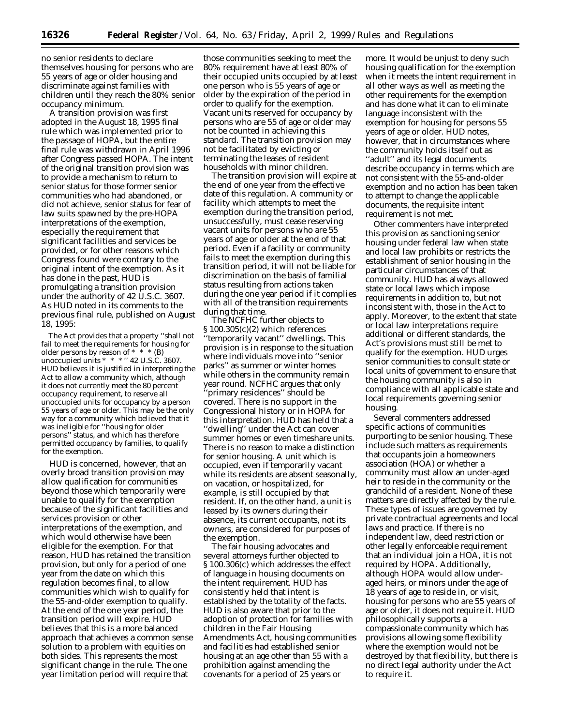no senior residents to declare themselves housing for persons who are 55 years of age or older housing and discriminate against families with children until they reach the 80% senior occupancy minimum.

A transition provision was first adopted in the August 18, 1995 final rule which was implemented prior to the passage of HOPA, but the entire final rule was withdrawn in April 1996 after Congress passed HOPA. The intent of the original transition provision was to provide a mechanism to return to senior status for those former senior communities who had abandoned, or did not achieve, senior status for fear of law suits spawned by the pre-HOPA interpretations of the exemption, especially the requirement that significant facilities and services be provided, or for other reasons which Congress found were contrary to the original intent of the exemption. As it has done in the past, HUD is promulgating a transition provision under the authority of 42 U.S.C. 3607. As HUD noted in its comments to the previous final rule, published on August 18, 1995:

The Act provides that a property ''shall not fail to meet the requirements for housing for older persons by reason of \* \* \* (B) unoccupied units  $* * * " 42 U.S.C. 3607.$ HUD believes it is justified in interpreting the Act to allow a community which, although it does not currently meet the 80 percent occupancy requirement, to reserve all unoccupied units for occupancy by a person 55 years of age or older. This may be the only way for a community which believed that it was ineligible for ''housing for older persons'' status, and which has therefore permitted occupancy by families, to qualify for the exemption.

HUD is concerned, however, that an overly broad transition provision may allow qualification for communities beyond those which temporarily were unable to qualify for the exemption because of the significant facilities and services provision or other interpretations of the exemption, and which would otherwise have been eligible for the exemption. For that reason, HUD has retained the transition provision, but only for a period of one year from the date on which this regulation becomes final, to allow communities which wish to qualify for the 55-and-older exemption to qualify. At the end of the one year period, the transition period will expire. HUD believes that this is a more balanced approach that achieves a common sense solution to a problem with equities on both sides. This represents the most significant change in the rule. The one year limitation period will require that

those communities seeking to meet the 80% requirement have at least 80% of their occupied units occupied by at least one person who is 55 years of age or older by the expiration of the period in order to qualify for the exemption. Vacant units reserved for occupancy by persons who are 55 of age or older may not be counted in achieving this standard. The transition provision may not be facilitated by evicting or terminating the leases of resident households with minor children.

The transition provision will expire at the end of one year from the effective date of this regulation. A community or facility which attempts to meet the exemption during the transition period, unsuccessfully, must cease reserving vacant units for persons who are 55 years of age or older at the end of that period. Even if a facility or community fails to meet the exemption during this transition period, it will not be liable for discrimination on the basis of familial status resulting from actions taken during the one year period if it complies with all of the transition requirements during that time.

The NCFHC further objects to § 100.305(c)(2) which references 'temporarily vacant'' dwellings. This provision is in response to the situation where individuals move into ''senior parks'' as summer or winter homes while others in the community remain year round. NCFHC argues that only ʻprimary residences'' should be covered. There is no support in the Congressional history or in HOPA for this interpretation. HUD has held that a ''dwelling'' under the Act can cover summer homes or even timeshare units. There is no reason to make a distinction for senior housing. A unit which is occupied, even if temporarily vacant while its residents are absent seasonally, on vacation, or hospitalized, for example, is still occupied by that resident. If, on the other hand, a unit is leased by its owners during their absence, its current occupants, not its owners, are considered for purposes of the exemption.

The fair housing advocates and several attorneys further objected to § 100.306(c) which addresses the effect of language in housing documents on the intent requirement. HUD has consistently held that intent is established by the totality of the facts. HUD is also aware that prior to the adoption of protection for families with children in the Fair Housing Amendments Act, housing communities and facilities had established senior housing at an age other than 55 with a prohibition against amending the covenants for a period of 25 years or

more. It would be unjust to deny such housing qualification for the exemption when it meets the intent requirement in all other ways as well as meeting the other requirements for the exemption and has done what it can to eliminate language inconsistent with the exemption for housing for persons 55 years of age or older. HUD notes, however, that in circumstances where the community holds itself out as ''adult'' and its legal documents describe occupancy in terms which are not consistent with the 55-and-older exemption and no action has been taken to attempt to change the applicable documents, the requisite intent requirement is not met.

Other commenters have interpreted this provision as sanctioning senior housing under federal law when state and local law prohibits or restricts the establishment of senior housing in the particular circumstances of that community. HUD has always allowed state or local laws which impose requirements in addition to, but not inconsistent with, those in the Act to apply. Moreover, to the extent that state or local law interpretations require additional or different standards, the Act's provisions must still be met to qualify for the exemption. HUD urges senior communities to consult state or local units of government to ensure that the housing community is also in compliance with all applicable state and local requirements governing senior housing.

Several commenters addressed specific actions of communities purporting to be senior housing. These include such matters as requirements that occupants join a homeowners association (HOA) or whether a community must allow an under-aged heir to reside in the community or the grandchild of a resident. None of these matters are directly affected by the rule. These types of issues are governed by private contractual agreements and local laws and practice. If there is no independent law, deed restriction or other legally enforceable requirement that an individual join a HOA, it is not required by HOPA. Additionally, although HOPA would allow underaged heirs, or minors under the age of 18 years of age to reside in, or visit, housing for persons who are 55 years of age or older, it does not require it. HUD philosophically supports a compassionate community which has provisions allowing some flexibility where the exemption would not be destroyed by that flexibility, but there is no direct legal authority under the Act to require it.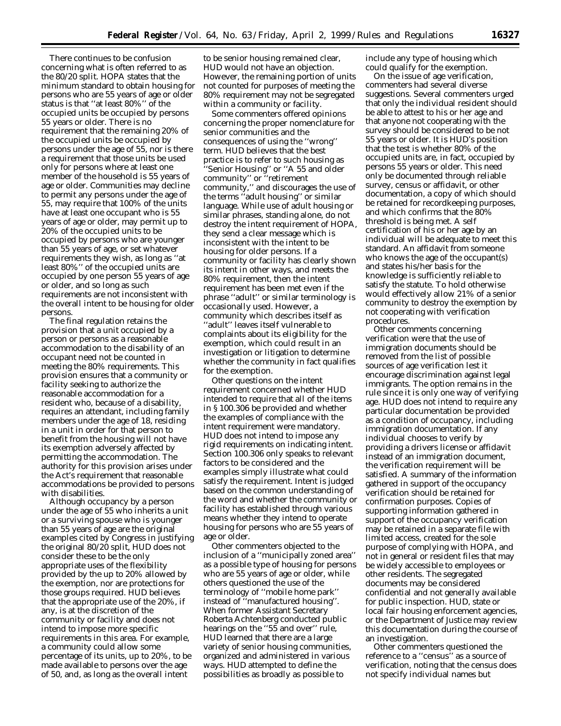There continues to be confusion concerning what is often referred to as the 80/20 split. HOPA states that the minimum standard to obtain housing for persons who are 55 years of age or older status is that ''at least 80%'' of the occupied units be occupied by persons 55 years or older. There is no requirement that the remaining 20% of the occupied units be occupied by persons under the age of 55, nor is there a requirement that those units be used only for persons where at least one member of the household is 55 years of age or older. Communities may decline to permit any persons under the age of 55, may require that 100% of the units have at least one occupant who is 55 years of age or older, may permit up to 20% of the occupied units to be occupied by persons who are younger than 55 years of age, or set whatever requirements they wish, as long as ''at least 80%'' of the occupied units are occupied by one person 55 years of age or older, and so long as such requirements are not inconsistent with the overall intent to be housing for older persons.

The final regulation retains the provision that a unit occupied by a person or persons as a reasonable accommodation to the disability of an occupant need not be counted in meeting the 80% requirements. This provision ensures that a community or facility seeking to authorize the reasonable accommodation for a resident who, because of a disability, requires an attendant, including family members under the age of 18, residing in a unit in order for that person to benefit from the housing will not have its exemption adversely affected by permitting the accommodation. The authority for this provision arises under the Act's requirement that reasonable accommodations be provided to persons with disabilities.

Although occupancy by a person under the age of 55 who inherits a unit or a surviving spouse who is younger than 55 years of age are the original examples cited by Congress in justifying the original 80/20 split, HUD does not consider these to be the only appropriate uses of the flexibility provided by the up to 20% allowed by the exemption, nor are protections for those groups required. HUD believes that the appropriate use of the 20%, if any, is at the discretion of the community or facility and does not intend to impose more specific requirements in this area. For example, a community could allow some percentage of its units, up to 20%, to be made available to persons over the age of *50*, and, as long as the overall intent

to be senior housing remained clear, HUD would not have an objection. However, the remaining portion of units not counted for purposes of meeting the 80% requirement may not be segregated within a community or facility.

Some commenters offered opinions concerning the proper nomenclature for senior communities and the consequences of using the ''wrong'' term. HUD believes that the best practice is to refer to such housing as ''Senior Housing'' or ''A 55 and older community'' or ''retirement community,'' and discourages the use of the terms "adult housing" or similar language. While use of adult housing or similar phrases, standing alone, do not destroy the intent requirement of HOPA, they send a clear message which is inconsistent with the intent to be housing for older persons. If a community or facility has clearly shown its intent in other ways, and meets the 80% requirement, then the intent requirement has been met even if the phrase ''adult'' or similar terminology is occasionally used. However, a community which describes itself as ''adult'' leaves itself vulnerable to complaints about its eligibility for the exemption, which could result in an investigation or litigation to determine whether the community in fact qualifies for the exemption.

Other questions on the intent requirement concerned whether HUD intended to require that all of the items in § 100.306 be provided and whether the examples of compliance with the intent requirement were mandatory. HUD does not intend to impose any rigid requirements on indicating intent. Section 100.306 only speaks to relevant factors to be considered and the examples simply illustrate what could satisfy the requirement. Intent is judged based on the common understanding of the word and whether the community or facility has established through various means whether they intend to operate housing for persons who are 55 years of age or older.

Other commenters objected to the inclusion of a ''municipally zoned area'' as a possible type of housing for persons who are 55 years of age or older, while others questioned the use of the terminology of ''mobile home park'' instead of ''manufactured housing''. When former Assistant Secretary Roberta Achtenberg conducted public hearings on the "55 and over" rule, HUD learned that there are a large variety of senior housing communities, organized and administered in various ways. HUD attempted to define the possibilities as broadly as possible to

include any type of housing which could qualify for the exemption.

On the issue of age verification, commenters had several diverse suggestions. Several commenters urged that only the individual resident should be able to attest to his or her age and that anyone not cooperating with the survey should be considered to be not 55 years or older. It is HUD's position that the test is whether 80% of the occupied units are, in fact, occupied by persons 55 years or older. This need only be documented through reliable survey, census or affidavit, or other documentation, a copy of which should be retained for recordkeeping purposes, and which confirms that the 80% threshold is being met. A self certification of his or her age by an individual will be adequate to meet this standard. An affidavit from someone who knows the age of the occupant(s) and states his/her basis for the knowledge is sufficiently reliable to satisfy the statute. To hold otherwise would effectively allow 21% of a senior community to destroy the exemption by not cooperating with verification procedures.

Other comments concerning verification were that the use of immigration documents should be removed from the list of possible sources of age verification lest it encourage discrimination against legal immigrants. The option remains in the rule since it is only one way of verifying age. HUD does not intend to require any particular documentation be provided as a condition of occupancy, including immigration documentation. If any individual chooses to verify by providing a drivers license or affidavit instead of an immigration document, the verification requirement will be satisfied. A summary of the information gathered in support of the occupancy verification should be retained for confirmation purposes. Copies of supporting information gathered in support of the occupancy verification may be retained in a separate file with limited access, created for the sole purpose of complying with HOPA, and not in general or resident files that may be widely accessible to employees or other residents. The segregated documents may be considered confidential and not generally available for public inspection. HUD, state or local fair housing enforcement agencies, or the Department of Justice may review this documentation during the course of an investigation.

Other commenters questioned the reference to a ''census'' as a source of verification, noting that the census does not specify individual names but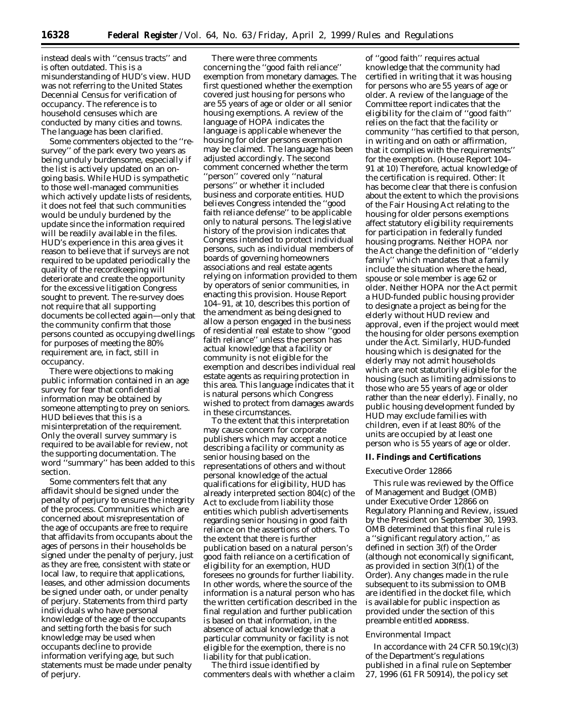instead deals with ''census tracts'' and is often outdated. This is a misunderstanding of HUD's view. HUD was not referring to the United States Decennial Census for verification of occupancy. The reference is to household censuses which are conducted by many cities and towns. The language has been clarified.

Some commenters objected to the ''resurvey'' of the park every two years as being unduly burdensome, especially if the list is actively updated on an ongoing basis. While HUD is sympathetic to those well-managed communities which actively update lists of residents, it does not feel that such communities would be unduly burdened by the update since the information required will be readily available in the files. HUD's experience in this area gives it reason to believe that if surveys are not required to be updated periodically the quality of the recordkeeping will deteriorate and create the opportunity for the excessive litigation Congress sought to prevent. The re-survey does not require that all supporting documents be collected again—only that the community confirm that those persons counted as occupying dwellings for purposes of meeting the 80% requirement are, in fact, still in occupancy.

There were objections to making public information contained in an age survey for fear that confidential information may be obtained by someone attempting to prey on seniors. HUD believes that this is a misinterpretation of the requirement. Only the overall survey summary is required to be available for review, not the supporting documentation. The word ''summary'' has been added to this section.

Some commenters felt that any affidavit should be signed under the penalty of perjury to ensure the integrity of the process. Communities which are concerned about misrepresentation of the age of occupants are free to require that affidavits from occupants about the ages of persons in their households be signed under the penalty of perjury, just as they are free, consistent with state or local law, to require that applications, leases, and other admission documents be signed under oath, or under penalty of perjury. Statements from third party individuals who have personal knowledge of the age of the occupants and setting forth the basis for such knowledge may be used when occupants decline to provide information verifying age, but such statements must be made under penalty of perjury.

There were three comments concerning the ''good faith reliance'' exemption from monetary damages. The first questioned whether the exemption covered just housing for persons who are 55 years of age or older or all senior housing exemptions. A review of the language of HOPA indicates the language is applicable whenever the housing for older persons exemption may be claimed. The language has been adjusted accordingly. The second comment concerned whether the term ''person'' covered only ''natural persons'' or whether it included business and corporate entities. HUD believes Congress intended the ''good faith reliance defense'' to be applicable only to natural persons. The legislative history of the provision indicates that Congress intended to protect individual persons, such as individual members of boards of governing homeowners associations and real estate agents relying on information provided to them by operators of senior communities, in enacting this provision. House Report 104–91, at 10, describes this portion of the amendment as being designed to allow a person engaged in the business of residential real estate to show ''good faith reliance'' unless the person has actual knowledge that a facility or community is *not* eligible for the exemption and describes individual real estate agents as requiring protection in this area. This language indicates that it is natural persons which Congress wished to protect from damages awards in these circumstances.

To the extent that this interpretation may cause concern for corporate publishers which may accept a notice describing a facility or community as senior housing based on the representations of others and without personal knowledge of the actual qualifications for eligibility, HUD has already interpreted section 804(c) of the Act to exclude from liability those entities which publish advertisements regarding senior housing in good faith reliance on the assertions of others. To the extent that there is further publication based on a natural person's good faith reliance on a certification of eligibility for an exemption, HUD foresees no grounds for further liability. In other words, where the source of the information is a natural person who has the written certification described in the final regulation and further publication is based on that information, in the absence of actual knowledge that a particular community or facility is *not* eligible for the exemption, there is no liability for that publication.

The third issue identified by commenters deals with whether a claim

of ''good faith'' requires actual knowledge that the community had certified in writing that it was housing for persons who are 55 years of age or older. A review of the language of the Committee report indicates that the eligibility for the claim of ''good faith'' relies on the fact that the facility or community ''has certified to that person, in writing and on oath or affirmation, that it complies with the requirements'' for the exemption. (House Report 104– 91 at 10) Therefore, actual knowledge of the certification is required. *Other:* It has become clear that there is confusion about the extent to which the provisions of the Fair Housing Act relating to the housing for older persons exemptions affect statutory eligibility requirements for participation in federally funded housing programs. Neither HOPA nor the Act change the definition of ''elderly family'' which mandates that a family include the situation where the head, spouse or sole member is age 62 or older. Neither HOPA nor the Act permit a HUD-funded public housing provider to designate a project as being for the elderly without HUD review and approval, even if the project would meet the housing for older persons exemption under the Act. Similarly, HUD-funded housing which is designated for the elderly may not admit households which are not statutorily eligible for the housing (such as limiting admissions to those who are 55 years of age or older rather than the near elderly). Finally, no public housing development funded by HUD may exclude families with children, even if at least 80% of the units are occupied by at least one person who is 55 years of age or older.

# **II. Findings and Certifications**

## *Executive Order 12866*

This rule was reviewed by the Office of Management and Budget (OMB) under Executive Order 12866 on Regulatory Planning and Review, issued by the President on September 30, 1993. OMB determined that this final rule is a ''significant regulatory action,'' as defined in section 3(f) of the Order (although not economically significant, as provided in section  $3(f)(1)$  of the Order). Any changes made in the rule subsequent to its submission to OMB are identified in the docket file, which is available for public inspection as provided under the section of this preamble entitled **ADDRESS**.

# *Environmental Impact*

In accordance with 24 CFR  $50.19(c)(3)$ of the Department's regulations published in a final rule on September 27, 1996 (61 FR 50914), the policy set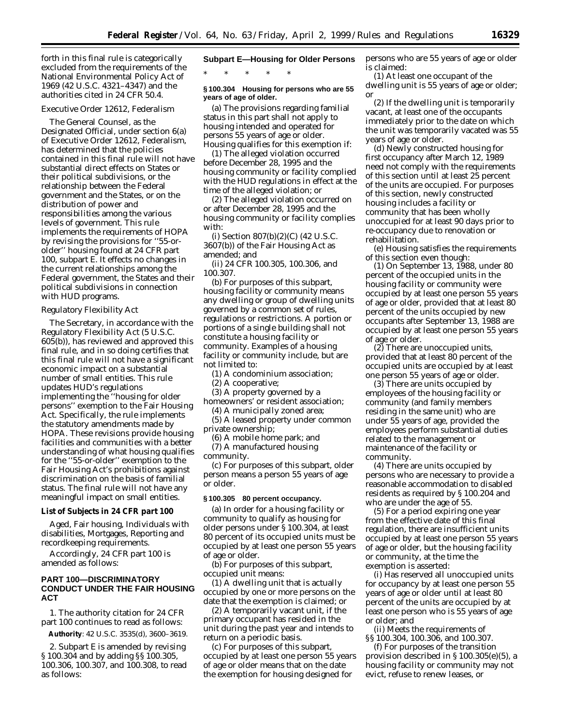forth in this final rule is categorically excluded from the requirements of the National Environmental Policy Act of 1969 (42 U.S.C. 4321–4347) and the authorities cited in 24 CFR 50.4.

## *Executive Order 12612, Federalism*

The General Counsel, as the Designated Official, under section 6(a) of Executive Order 12612, *Federalism,* has determined that the policies contained in this final rule will not have substantial direct effects on States or their political subdivisions, or the relationship between the Federal government and the States, or on the distribution of power and responsibilities among the various levels of government. This rule implements the requirements of HOPA by revising the provisions for ''55-orolder'' housing found at 24 CFR part 100, subpart E. It effects no changes in the current relationships among the Federal government, the States and their political subdivisions in connection with HUD programs.

## *Regulatory Flexibility Act*

The Secretary, in accordance with the Regulatory Flexibility Act (5 U.S.C. 605(b)), has reviewed and approved this final rule, and in so doing certifies that this final rule will not have a significant economic impact on a substantial number of small entities. This rule updates HUD's regulations implementing the ''housing for older persons'' exemption to the Fair Housing Act. Specifically, the rule implements the statutory amendments made by HOPA. These revisions provide housing facilities and communities with a better understanding of what housing qualifies for the ''55-or-older'' exemption to the Fair Housing Act's prohibitions against discrimination on the basis of familial status. The final rule will not have any meaningful impact on small entities.

## **List of Subjects in 24 CFR part 100**

Aged, Fair housing, Individuals with disabilities, Mortgages, Reporting and recordkeeping requirements.

Accordingly, 24 CFR part 100 is amended as follows:

# **PART 100—DISCRIMINATORY CONDUCT UNDER THE FAIR HOUSING ACT**

1. The authority citation for 24 CFR part 100 continues to read as follows:

**Authority**: 42 U.S.C. 3535(d), 3600–3619.

2. Subpart E is amended by revising § 100.304 and by adding §§ 100.305, 100.306, 100.307, and 100.308, to read as follows:

## **Subpart E—Housing for Older Persons**

\* \* \* \* \*

## **§ 100.304 Housing for persons who are 55 years of age of older.**

(a) The provisions regarding familial status in this part shall not apply to housing intended and operated for persons 55 years of age or older. Housing qualifies for this exemption if:

(1) The alleged violation occurred before December 28, 1995 and the housing community or facility complied with the HUD regulations in effect at the time of the alleged violation; or

(2) The alleged violation occurred on or after December 28, 1995 and the housing community or facility complies with:

(i) Section 807(b)(2)(C) (42 U.S.C. 3607(b)) of the Fair Housing Act as amended; and

(ii) 24 CFR 100.305, 100.306, and 100.307.

(b) For purposes of this subpart, *housing facility or community* means any dwelling or group of dwelling units governed by a common set of rules, regulations or restrictions. A portion or portions of a single building shall not constitute a housing facility or community. Examples of a housing facility or community include, but are not limited to:

(1) A condominium association;

(2) A cooperative;

(3) A property governed by a

homeowners' or resident association; (4) A municipally zoned area;

(5) A leased property under common

private ownership; (6) A mobile home park; and

(7) A manufactured housing

community.

(c) For purposes of this subpart, *older person* means a person 55 years of age or older.

# **§ 100.305 80 percent occupancy.**

(a) In order for a housing facility or community to qualify as housing for older persons under § 100.304, at least 80 percent of its occupied units must be occupied by at least one person 55 years of age or older.

(b) For purposes of this subpart, *occupied unit* means:

(1) A dwelling unit that is actually occupied by one or more persons on the date that the exemption is claimed; or

(2) A temporarily vacant unit, if the primary occupant has resided in the unit during the past year and intends to return on a periodic basis.

(c) For purposes of this subpart, *occupied by at least one person 55 years of age or older* means that on the date the exemption for housing designed for

persons who are 55 years of age or older is claimed:

(1) At least one occupant of the dwelling unit is 55 years of age or older; or

(2) If the dwelling unit is temporarily vacant, at least one of the occupants immediately prior to the date on which the unit was temporarily vacated was 55 years of age or older.

(d) Newly constructed housing for first occupancy after March 12, 1989 need not comply with the requirements of this section until at least 25 percent of the units are occupied. For purposes of this section, newly constructed housing includes a facility or community that has been wholly unoccupied for at least 90 days prior to re-occupancy due to renovation or rehabilitation.

(e) Housing satisfies the requirements of this section even though:

(1) On September 13, 1988, under 80 percent of the occupied units in the housing facility or community were occupied by at least one person 55 years of age or older, provided that at least 80 percent of the units occupied by new occupants after September 13, 1988 are occupied by at least one person 55 years of age or older.

(2) There are unoccupied units, provided that at least 80 percent of the occupied units are occupied by at least one person 55 years of age or older.

(3) There are units occupied by employees of the housing facility or community (and family members residing in the same unit) who are under 55 years of age, provided the employees perform substantial duties related to the management or maintenance of the facility or community.

(4) There are units occupied by persons who are necessary to provide a reasonable accommodation to disabled residents as required by § 100.204 and who are under the age of 55.

(5) For a period expiring one year from the effective date of this final regulation, there are insufficient units occupied by at least one person 55 years of age or older, but the housing facility or community, at the time the exemption is asserted:

(i) Has reserved all unoccupied units for occupancy by at least one person 55 years of age or older until at least 80 percent of the units are occupied by at least one person who is 55 years of age or older; and

(ii) Meets the requirements of §§ 100.304, 100.306, and 100.307.

(f) For purposes of the transition provision described in § 100.305(e)(5), a housing facility or community may not evict, refuse to renew leases, or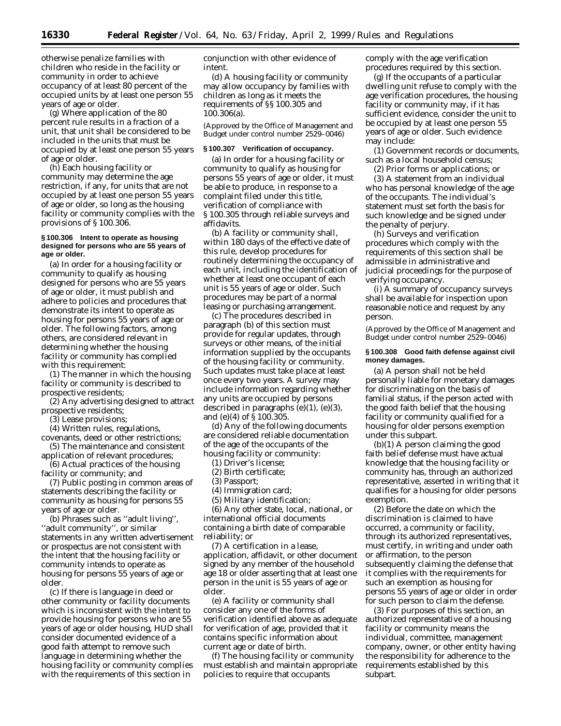otherwise penalize families with children who reside in the facility or community in order to achieve occupancy of at least 80 percent of the occupied units by at least one person 55 years of age or older.

(g) Where application of the 80 percent rule results in a fraction of a unit, that unit shall be considered to be included in the units that must be occupied by at least one person 55 years of age or older.

(h) Each housing facility or community may determine the age restriction, if any, for units that are not occupied by at least one person 55 years of age or older, so long as the housing facility or community complies with the provisions of § 100.306.

## **§ 100.306 Intent to operate as housing designed for persons who are 55 years of age or older.**

(a) In order for a housing facility or community to qualify as housing designed for persons who are 55 years of age or older, it must publish and adhere to policies and procedures that demonstrate its intent to operate as housing for persons 55 years of age or older. The following factors, among others, are considered relevant in determining whether the housing facility or community has complied with this requirement:

(1) The manner in which the housing facility or community is described to prospective residents;

(2) Any advertising designed to attract prospective residents;

(3) Lease provisions;

(4) Written rules, regulations,

covenants, deed or other restrictions; (5) The maintenance and consistent

application of relevant procedures; (6) Actual practices of the housing

facility or community; and

(7) Public posting in common areas of statements describing the facility or community as housing for persons 55 years of age or older.

(b) Phrases such as ''adult living'', ''adult community'', or similar statements in any written advertisement or prospectus are not consistent with the intent that the housing facility or community intends to operate as housing for persons 55 years of age or older.

(c) If there is language in deed or other community or facility documents which is inconsistent with the intent to provide housing for persons who are 55 years of age or older housing, HUD shall consider documented evidence of a good faith attempt to remove such language in determining whether the housing facility or community complies with the requirements of this section in

conjunction with other evidence of intent.

(d) A housing facility or community may allow occupancy by families with children as long as it meets the requirements of §§ 100.305 and 100.306(a).

(Approved by the Office of Management and Budget under control number 2529–0046)

# **§ 100.307 Verification of occupancy.**

(a) In order for a housing facility or community to qualify as housing for persons 55 years of age or older, it must be able to produce, in response to a complaint filed under this title, verification of compliance with § 100.305 through reliable surveys and affidavits.

(b) A facility or community shall, within 180 days of the effective date of this rule, develop procedures for routinely determining the occupancy of each unit, including the identification of whether at least one occupant of each unit is 55 years of age or older. Such procedures may be part of a normal leasing or purchasing arrangement.

(c) The procedures described in paragraph (b) of this section must provide for regular updates, through surveys or other means, of the initial information supplied by the occupants of the housing facility or community. Such updates must take place at least once every two years. A survey may include information regarding whether any units are occupied by persons described in paragraphs (e)(1), (e)(3), and (e)(4) of § 100.305.

(d) Any of the following documents are considered reliable documentation of the age of the occupants of the housing facility or community:

(1) Driver's license;

(2) Birth certificate;

(3) Passport;

(4) Immigration card;

(5) Military identification;

(6) Any other state, local, national, or international official documents containing a birth date of comparable reliability; or

(7) A certification in a lease, application, affidavit, or other document signed by any member of the household age 18 or older asserting that at least one person in the unit is 55 years of age or older.

(e) A facility or community shall consider any one of the forms of verification identified above as adequate for verification of age, provided that it contains specific information about current age or date of birth.

(f) The housing facility or community must establish and maintain appropriate policies to require that occupants

comply with the age verification procedures required by this section.

(g) If the occupants of a particular dwelling unit refuse to comply with the age verification procedures, the housing facility or community may, if it has sufficient evidence, consider the unit to be occupied by at least one person 55 years of age or older. Such evidence may include:

(1) Government records or documents, such as a local household census;

(2) Prior forms or applications; or

(3) A statement from an individual who has personal knowledge of the age of the occupants. The individual's statement must set forth the basis for such knowledge and be signed under the penalty of perjury.

(h) Surveys and verification procedures which comply with the requirements of this section shall be admissible in administrative and judicial proceedings for the purpose of verifying occupancy.

(i) A summary of occupancy surveys shall be available for inspection upon reasonable notice and request by any person.

(Approved by the Office of Management and Budget under control number 2529–0046)

# **§ 100.308 Good faith defense against civil money damages.**

(a) A person shall not be held personally liable for monetary damages for discriminating on the basis of familial status, if the person acted with the good faith belief that the housing facility or community qualified for a housing for older persons exemption under this subpart.

(b)(1) A person claiming the good faith belief defense must have actual knowledge that the housing facility or community has, through an authorized representative, asserted in writing that it qualifies for a housing for older persons exemption.

(2) Before the date on which the discrimination is claimed to have occurred, a community or facility, through its authorized representatives, must certify, in writing and under oath or affirmation, to the person subsequently claiming the defense that it complies with the requirements for such an exemption as housing for persons 55 years of age or older in order for such person to claim the defense.

(3) For purposes of this section, an authorized representative of a housing facility or community means the individual, committee, management company, owner, or other entity having the responsibility for adherence to the requirements established by this subpart.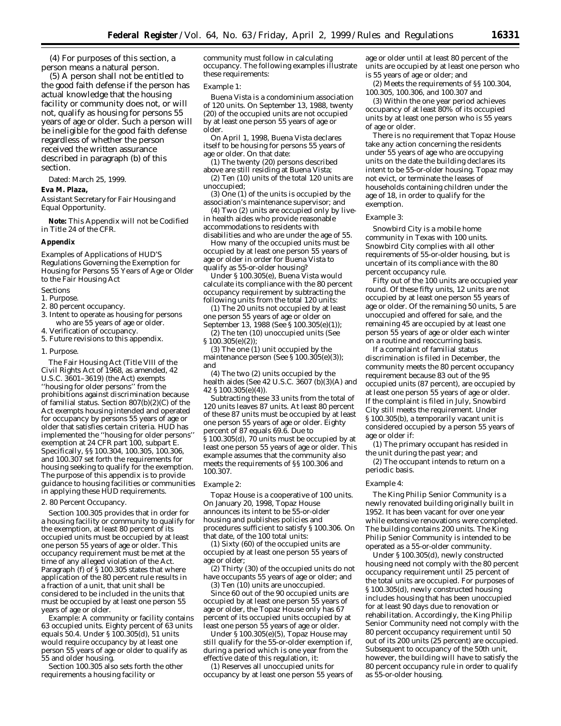(4) For purposes of this section, a person means a natural person.

(5) A person shall not be entitled to the good faith defense if the person has actual knowledge that the housing facility or community does not, or will not, qualify as housing for persons 55 years of age or older. Such a person will be ineligible for the good faith defense regardless of whether the person received the written assurance described in paragraph (b) of this section.

Dated: March 25, 1999.

# **Eva M. Plaza,**

*Assistant Secretary for Fair Housing and Equal Opportunity.*

**Note:** This Appendix will not be Codified in Title 24 of the CFR.

## **Appendix**

*Examples of Applications of HUD'S Regulations Governing the Exemption for Housing for Persons 55 Years of Age or Older to the Fair Housing Act*

# Sections

- 1. Purpose.
- 2. 80 percent occupancy.
- 3. Intent to operate as housing for persons who are 55 years of age or older.
- 4. Verification of occupancy.
- 5. Future revisions to this appendix.
- 1. Purpose.

The Fair Housing Act (Title VIII of the Civil Rights Act of 1968, as amended, 42 U.S.C. 3601–3619) (the Act) exempts ''housing for older persons'' from the prohibitions against discrimination because of familial status. Section 807(b)(2)(C) of the Act exempts housing intended and operated for occupancy by persons 55 years of age or older that satisfies certain criteria. HUD has implemented the ''housing for older persons'' exemption at 24 CFR part 100, subpart E. Specifically, §§ 100.304, 100.305, 100.306, and 100.307 set forth the requirements for housing seeking to qualify for the exemption. The purpose of this appendix is to provide guidance to housing facilities or communities in applying these HUD requirements.

2. 80 Percent Occupancy.

Section 100.305 provides that in order for a housing facility or community to qualify for the exemption, at least 80 percent of its occupied units must be occupied by at least one person 55 years of age or older. This occupancy requirement must be met at the time of any alleged violation of the Act. Paragraph (f) of § 100.305 states that where application of the 80 percent rule results in a fraction of a unit, that unit shall be considered to be included in the units that must be occupied by at least one person 55 years of age or older.

*Example:* A community or facility contains 63 occupied units. Eighty percent of 63 units equals 50.4. Under § 100.305(d), 51 units would require occupancy by at least one person 55 years of age or older to qualify as 55 and older housing.

Section 100.305 also sets forth the other requirements a housing facility or

community must follow in calculating occupancy. The following examples illustrate these requirements:

## *Example 1:*

Buena Vista is a condominium association of 120 units. On September 13, 1988, twenty (20) of the occupied units are not occupied by at least one person 55 years of age or older.

On April 1, 1998, Buena Vista declares itself to be housing for persons 55 years of age or older. On that date:

- (1) The twenty (20) persons described
- above are still residing at Buena Vista; (2) Ten (10) units of the total 120 units are unoccupied;

(3) One (1) of the units is occupied by the association's maintenance supervisor; and

(4) Two (2) units are occupied only by livein health aides who provide reasonable accommodations to residents with disabilities and who are under the age of 55.

How many of the occupied units must be occupied by at least one person 55 years of age or older in order for Buena Vista to qualify as 55-or-older housing?

Under § 100.305(e), Buena Vista would calculate its compliance with the 80 percent occupancy requirement by subtracting the following units from the total 120 units:

(1) The 20 units not occupied by at least one person 55 years of age or older on

September 13, 1988 (See § 100.305(e)(1)); (2) The ten (10) unoccupied units (See § 100.305(e)(2));

(3) The one (1) unit occupied by the maintenance person (See § 100.305(e)(3)); and

(4) The two (2) units occupied by the health aides (See 42 U.S.C.  $3607$  (b)(3)(A) and 42 § 100.305(e)(4)).

Subtracting these 33 units from the total of 120 units leaves 87 units. At least 80 percent of these 87 units must be occupied by at least one person 55 years of age or older. Eighty percent of 87 equals 69.6. Due to § 100.305(d), 70 units must be occupied by at least one person 55 years of age or older. This example assumes that the community also meets the requirements of §§ 100.306 and 100.307.

## *Example 2:*

Topaz House is a cooperative of 100 units. On January 20, 1998, Topaz House announces its intent to be 55-or-older housing and publishes policies and procedures sufficient to satisfy § 100.306. On that date, of the 100 total units:

(1) Sixty (60) of the occupied units are occupied by at least one person 55 years of age or older;

(2) Thirty (30) of the occupied units do not have occupants 55 years of age or older; and (3) Ten (10) units are unoccupied.

Since 60 out of the 90 occupied units are occupied by at least one person 55 years of age or older, the Topaz House only has 67 percent of its occupied units occupied by at least one person 55 years of age or older.

Under  $\hat{S}$  100.305(e)(5), Topaz House may still qualify for the 55-or-older exemption if, during a period which is one year from the effective date of this regulation, it:

(1) Reserves all unoccupied units for occupancy by at least one person 55 years of

age or older until at least 80 percent of the units are occupied by at least one person who is 55 years of age or older; and

(2) Meets the requirements of §§ 100.304, 100.305, 100.306, and 100.307 and

(3) Within the one year period achieves occupancy of at least 80% of its occupied units by at least one person who is 55 years of age or older.

There is no requirement that Topaz House take any action concerning the residents under 55 years of age who are occupying units on the date the building declares its intent to be 55-or-older housing. Topaz may not evict, or terminate the leases of households containing children under the age of 18, in order to qualify for the exemption.

#### *Example 3:*

Snowbird City is a mobile home community in Texas with 100 units. Snowbird City complies with all other requirements of 55-or-older housing, but is uncertain of its compliance with the 80 percent occupancy rule.

Fifty out of the 100 units are occupied year round. Of these fifty units, 12 units are not occupied by at least one person 55 years of age or older. Of the remaining 50 units, 5 are unoccupied and offered for sale, and the remaining 45 are occupied by at least one person 55 years of age or older each winter on a routine and reoccurring basis.

If a complaint of familial status discrimination is filed in December, the community meets the 80 percent occupancy requirement because 83 out of the 95 occupied units (87 percent), are occupied by at least one person 55 years of age or older. If the complaint is filed in July, Snowbird City still meets the requirement. Under § 100.305(b), a temporarily vacant unit is considered occupied by a person 55 years of age or older if:

(1) The primary occupant has resided in the unit during the past year; and

(2) The occupant intends to return on a periodic basis.

#### *Example 4:*

The King Philip Senior Community is a newly renovated building originally built in 1952. It has been vacant for over one year while extensive renovations were completed. The building contains 200 units. The King Philip Senior Community is intended to be operated as a 55-or-older community.

Under § 100.305(d), newly constructed housing need not comply with the 80 percent occupancy requirement until 25 percent of the total units are occupied. For purposes of § 100.305(d), newly constructed housing includes housing that has been unoccupied for at least 90 days due to renovation or rehabilitation. Accordingly, the King Philip Senior Community need not comply with the 80 percent occupancy requirement until 50 out of its 200 units (25 percent) are occupied. Subsequent to occupancy of the 50th unit, however, the building will have to satisfy the 80 percent occupancy rule in order to qualify as 55-or-older housing.